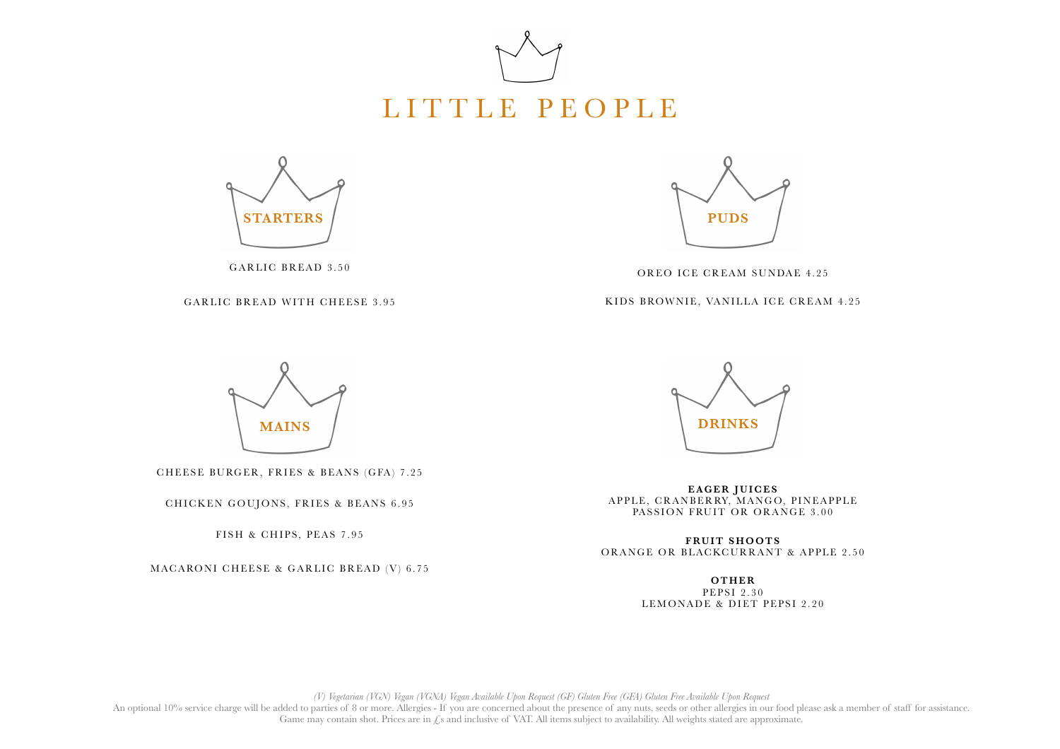



GARLIC BREAD 3.50

GARLIC BREAD WITH CHEESE 3.95



OREO ICE CREAM SUNDAE 4.25

KIDS BROWNIE, VANILLA ICE CREAM 4.25



CHEESE BURGER, FRIES & BEANS (GFA) 7.25

CHICKEN GOUJONS, FRIES & BEANS 6.95

FISH & CHIPS, PEAS 7.95

MACARONI CHEESE & GARLIC BREAD (V) 6.75



**EAGER JUICES** APPLE, CRANBERRY, MANGO, PINEAPPLE PASSION FRUIT OR ORANGE 3.00

**FRUIT SHOOTS** ORANGE OR BLACKCURRANT & APPLE 2.50

> **OTHER** PEPSI 2.30 LEMONADE & DIET PEPSI 2.20

*(V) Vegetarian (VGN) Vegan (VGNA) Vegan Available Upon Request (GF) Gluten Free (GFA) Gluten Free Available Upon Request*

An optional 10% service charge will be added to parties of 8 or more. Allergies - If you are concerned about the presence of any nuts, seeds or other allergies in our food please ask a member of staff for assistance. Game may contain shot. Prices are in  $\mathcal{L}_S$  and inclusive of VAT. All items subject to availability. All weights stated are approximate.